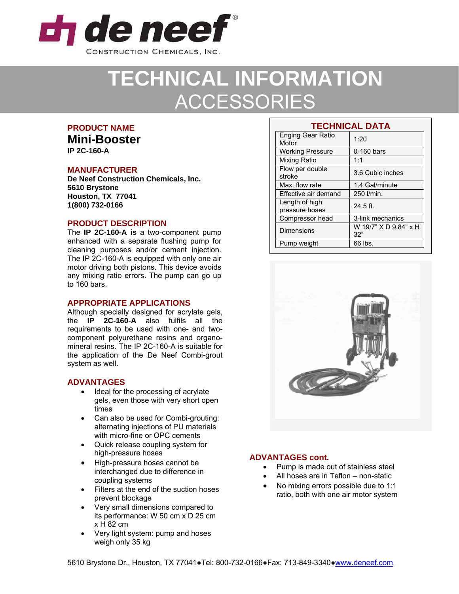

# **TECHNICAL INFORMATION**  ACCESSORIES

## **PRODUCT NAME**

**Mini-Booster IP 2C-160-A** 

## **MANUFACTURER**

**De Neef Construction Chemicals, Inc. 5610 Brystone Houston, TX 77041 1(800) 732-0166**

## **PRODUCT DESCRIPTION**

The **IP 2C-160-A is** a two-component pump enhanced with a separate flushing pump for cleaning purposes and/or cement injection. The IP 2C-160-A is equipped with only one air motor driving both pistons. This device avoids any mixing ratio errors. The pump can go up to 160 bars.

#### **APPROPRIATE APPLICATIONS**

Although specially designed for acrylate gels, the **IP 2C-160-A** also fulfils all the requirements to be used with one- and twocomponent polyurethane resins and organomineral resins. The IP 2C-160-A is suitable for the application of the De Neef Combi-grout system as well.

## **ADVANTAGES**

- Ideal for the processing of acrylate gels, even those with very short open times
- Can also be used for Combi-grouting: alternating injections of PU materials with micro-fine or OPC cements
- Quick release coupling system for high-pressure hoses
- High-pressure hoses cannot be interchanged due to difference in coupling systems
- Filters at the end of the suction hoses prevent blockage
- Very small dimensions compared to its performance: W 50 cm x D 25 cm x H 82 cm
- Very light system: pump and hoses weigh only 35 kg

| <b>TECHNICAL DATA</b>             |                              |
|-----------------------------------|------------------------------|
| <b>Enging Gear Ratio</b><br>Motor | 1:20                         |
| <b>Working Pressure</b>           | 0-160 bars                   |
| Mixing Ratio                      | 1:1                          |
| Flow per double<br>stroke         | 3.6 Cubic inches             |
| Max. flow rate                    | 1.4 Gal/minute               |
| Effective air demand              | 250 l/min.                   |
| Length of high<br>pressure hoses  | $24.5$ ft.                   |
| Compressor head                   | 3-link mechanics             |
| Dimensions                        | W 19/7" X D 9.84" x H<br>32" |
| Pump weight                       | 66 lbs.                      |



## **ADVANTAGES cont.**

- Pump is made out of stainless steel
- All hoses are in Teflon non-static
- No mixing error*s* possible due to 1:1 ratio, both with one air motor system